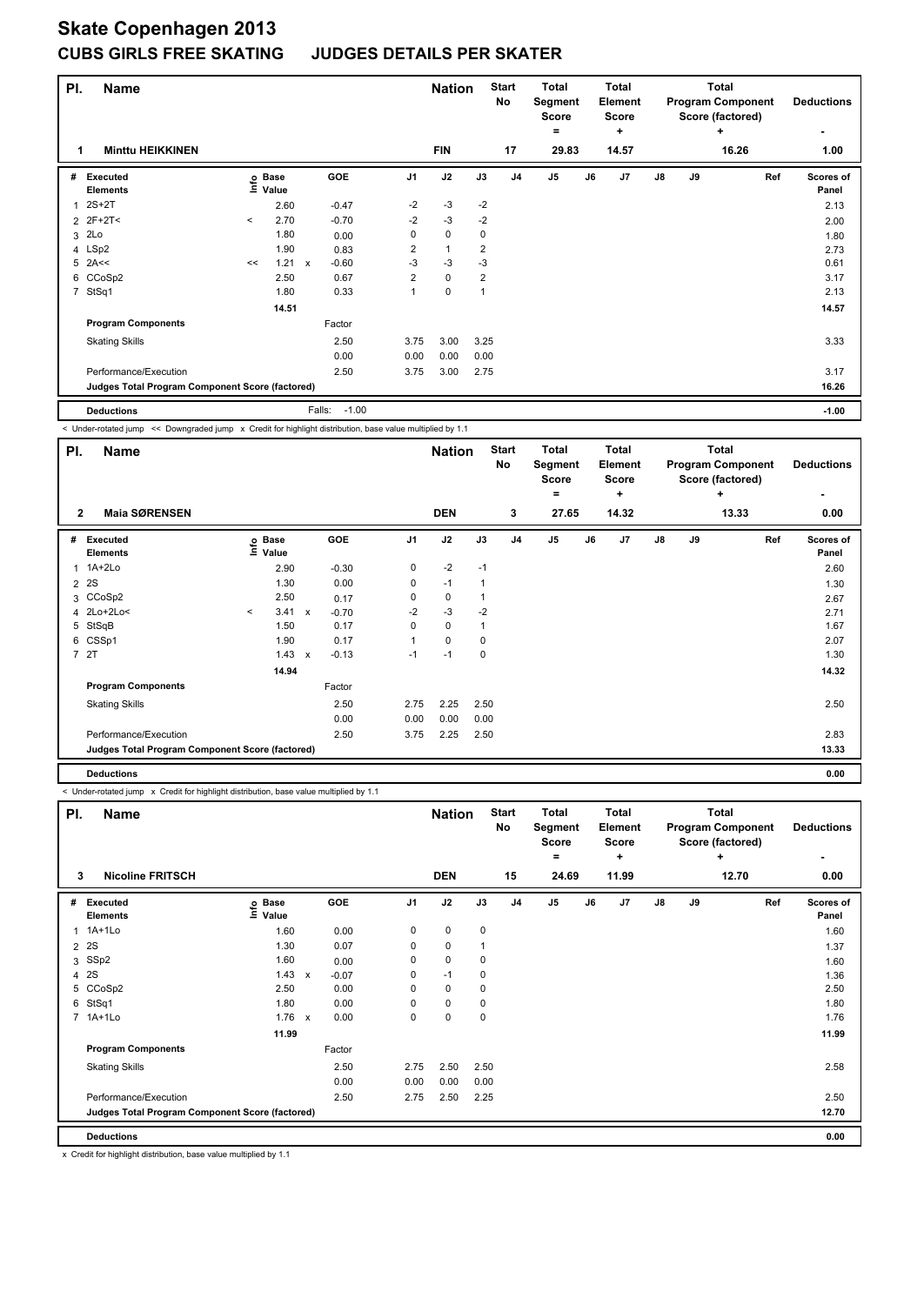# **Skate Copenhagen 2013**

### **CUBS GIRLS FREE SKATING JUDGES DETAILS PER SKATER**

| PI.            | <b>Name</b>                                     |         |                      |                                      |                |                | <b>Nation</b> | <b>Start</b><br>No |                | <b>Total</b><br>Segment<br><b>Score</b> |    | <b>Total</b><br>Element<br><b>Score</b> |    |    | <b>Total</b><br><b>Program Component</b><br>Score (factored) | <b>Deductions</b>  |
|----------------|-------------------------------------------------|---------|----------------------|--------------------------------------|----------------|----------------|---------------|--------------------|----------------|-----------------------------------------|----|-----------------------------------------|----|----|--------------------------------------------------------------|--------------------|
|                | <b>Minttu HEIKKINEN</b>                         |         |                      |                                      |                | <b>FIN</b>     |               | 17                 |                | $\equiv$<br>29.83                       |    | ÷<br>14.57                              |    |    | ÷<br>16.26                                                   | ۰<br>1.00          |
| #              | Executed<br><b>Elements</b>                     | lnfo    | <b>Base</b><br>Value | <b>GOE</b>                           | J <sub>1</sub> | J2             | J3            |                    | J <sub>4</sub> | J5                                      | J6 | J7                                      | J8 | J9 | Ref                                                          | Scores of<br>Panel |
| 1              | $2S+2T$                                         |         | 2.60                 | $-0.47$                              | $-2$           | $-3$           |               | $-2$               |                |                                         |    |                                         |    |    |                                                              | 2.13               |
|                | 2 2F+2T<                                        | $\,<\,$ | 2.70                 | $-0.70$                              | $-2$           | $-3$           |               | $-2$               |                |                                         |    |                                         |    |    |                                                              | 2.00               |
|                | 3 2Lo                                           |         | 1.80                 | 0.00                                 | 0              | $\mathbf 0$    |               | 0                  |                |                                         |    |                                         |    |    |                                                              | 1.80               |
|                | 4 LSp2                                          |         | 1.90                 | 0.83                                 | $\overline{2}$ | $\overline{1}$ |               | $\overline{2}$     |                |                                         |    |                                         |    |    |                                                              | 2.73               |
|                | $5$ 2A<<                                        | <<      | 1.21                 | $-0.60$<br>$\boldsymbol{\mathsf{x}}$ | -3             | $-3$           |               | $-3$               |                |                                         |    |                                         |    |    |                                                              | 0.61               |
|                | 6 CCoSp2                                        |         | 2.50                 | 0.67                                 | $\overline{2}$ | $\mathbf 0$    |               | $\overline{2}$     |                |                                         |    |                                         |    |    |                                                              | 3.17               |
| $\overline{7}$ | StSq1                                           |         | 1.80                 | 0.33                                 | 1              | $\mathbf 0$    | -1            |                    |                |                                         |    |                                         |    |    |                                                              | 2.13               |
|                |                                                 |         | 14.51                |                                      |                |                |               |                    |                |                                         |    |                                         |    |    |                                                              | 14.57              |
|                | <b>Program Components</b>                       |         |                      | Factor                               |                |                |               |                    |                |                                         |    |                                         |    |    |                                                              |                    |
|                | <b>Skating Skills</b>                           |         |                      | 2.50                                 | 3.75           | 3.00           |               | 3.25               |                |                                         |    |                                         |    |    |                                                              | 3.33               |
|                |                                                 |         |                      | 0.00                                 | 0.00           | 0.00           |               | 0.00               |                |                                         |    |                                         |    |    |                                                              |                    |
|                | Performance/Execution                           |         |                      | 2.50                                 | 3.75           | 3.00           |               | 2.75               |                |                                         |    |                                         |    |    |                                                              | 3.17               |
|                | Judges Total Program Component Score (factored) |         |                      |                                      |                |                |               |                    |                |                                         |    |                                         |    |    |                                                              | 16.26              |

**Deductions** Falls: -1.00 **-1.00** < Under-rotated jump << Downgraded jump x Credit for highlight distribution, base value multiplied by 1.1

**Name Deductions Nation Total Pl. Start Segment Score = Total Element Score + Total Program Component Score (factored) + No # Executed Elements Base Value GOE J1 J2 J3 J4 J5 J6 J7 J8 J9 Scores of Panel** 1 1A+2Lo 2.90 -0.30 0 -2 -1 **Ref**  1A+2Lo 2.60 **Info 2 Maia SØRENSEN DEN 3 27.65 14.32 13.33 0.00** 2 2S 1.30 0.00 0 -1 1 20 2 2S 1.30 3 CCoSp2 2.50 0.17 0 0 1 2.67 2.67 4 2Lo+2Lo< < 3.41 x -0.70 -2 -3 -2 2.71 5 StSqB 1.50 0.17 0 0 1 1.67 6 CSSp1 1.90 0.17 1 0 0 2.07 7 2T 1.43 x -0.13 -1 -1 0 1.30  **14.94 14.32 Program Components**  Skating Skills **2.50** 2.75 2.25 2.50 Factor 2.50 2.50 0.00 0.00 0.00 0.00 Performance/Execution 2.50 3.75 2.25 2.50 2.83 **Deductions 0.00 Judges Total Program Component Score (factored) 13.33**

**-**

< Under-rotated jump x Credit for highlight distribution, base value multiplied by 1.1

| PI. | Name                                            |                   |                           |            |                | <b>Nation</b> |             | <b>Start</b><br>No | <b>Total</b><br>Segment<br><b>Score</b> |    | Total<br>Element<br>Score |               |    | <b>Total</b><br><b>Program Component</b><br>Score (factored) | <b>Deductions</b>                |
|-----|-------------------------------------------------|-------------------|---------------------------|------------|----------------|---------------|-------------|--------------------|-----------------------------------------|----|---------------------------|---------------|----|--------------------------------------------------------------|----------------------------------|
| 3   | <b>Nicoline FRITSCH</b>                         |                   |                           |            |                | <b>DEN</b>    |             | 15                 | $=$<br>24.69                            |    | ٠<br>11.99                |               |    | ÷<br>12.70                                                   | $\overline{\phantom{0}}$<br>0.00 |
|     |                                                 |                   |                           |            |                |               |             |                    |                                         |    |                           |               |    |                                                              |                                  |
| #   | <b>Executed</b><br><b>Elements</b>              | e Base<br>⊆ Value |                           | <b>GOE</b> | J <sub>1</sub> | J2            | J3          | J <sub>4</sub>     | J <sub>5</sub>                          | J6 | J7                        | $\mathsf{J}8$ | J9 | Ref                                                          | Scores of<br>Panel               |
| 1   | $1A+1L0$                                        | 1.60              |                           | 0.00       | 0              | $\mathbf 0$   | 0           |                    |                                         |    |                           |               |    |                                                              | 1.60                             |
| 2   | 2S                                              | 1.30              |                           | 0.07       | 0              | $\mathbf 0$   |             |                    |                                         |    |                           |               |    |                                                              | 1.37                             |
| 3   | SSp2                                            | 1.60              |                           | 0.00       | 0              | $\mathbf 0$   | $\mathbf 0$ |                    |                                         |    |                           |               |    |                                                              | 1.60                             |
| 4   | 2S                                              | 1.43              | $\boldsymbol{\mathsf{x}}$ | $-0.07$    | 0              | $-1$          | 0           |                    |                                         |    |                           |               |    |                                                              | 1.36                             |
|     | 5 CCoSp2                                        | 2.50              |                           | 0.00       | 0              | 0             | 0           |                    |                                         |    |                           |               |    |                                                              | 2.50                             |
| 6   | StSq1                                           | 1.80              |                           | 0.00       | 0              | 0             | 0           |                    |                                         |    |                           |               |    |                                                              | 1.80                             |
|     | 7 1A+1Lo                                        | 1.76              | $\mathsf{x}$              | 0.00       | 0              | $\mathbf 0$   | $\mathbf 0$ |                    |                                         |    |                           |               |    |                                                              | 1.76                             |
|     |                                                 | 11.99             |                           |            |                |               |             |                    |                                         |    |                           |               |    |                                                              | 11.99                            |
|     | <b>Program Components</b>                       |                   |                           | Factor     |                |               |             |                    |                                         |    |                           |               |    |                                                              |                                  |
|     | <b>Skating Skills</b>                           |                   |                           | 2.50       | 2.75           | 2.50          | 2.50        |                    |                                         |    |                           |               |    |                                                              | 2.58                             |
|     |                                                 |                   |                           | 0.00       | 0.00           | 0.00          | 0.00        |                    |                                         |    |                           |               |    |                                                              |                                  |
|     | Performance/Execution                           |                   |                           | 2.50       | 2.75           | 2.50          | 2.25        |                    |                                         |    |                           |               |    |                                                              | 2.50                             |
|     | Judges Total Program Component Score (factored) |                   |                           |            |                |               |             |                    |                                         |    |                           |               |    |                                                              | 12.70                            |
|     | <b>Deductions</b>                               |                   |                           |            |                |               |             |                    |                                         |    |                           |               |    |                                                              | 0.00                             |

x Credit for highlight distribution, base value multiplied by 1.1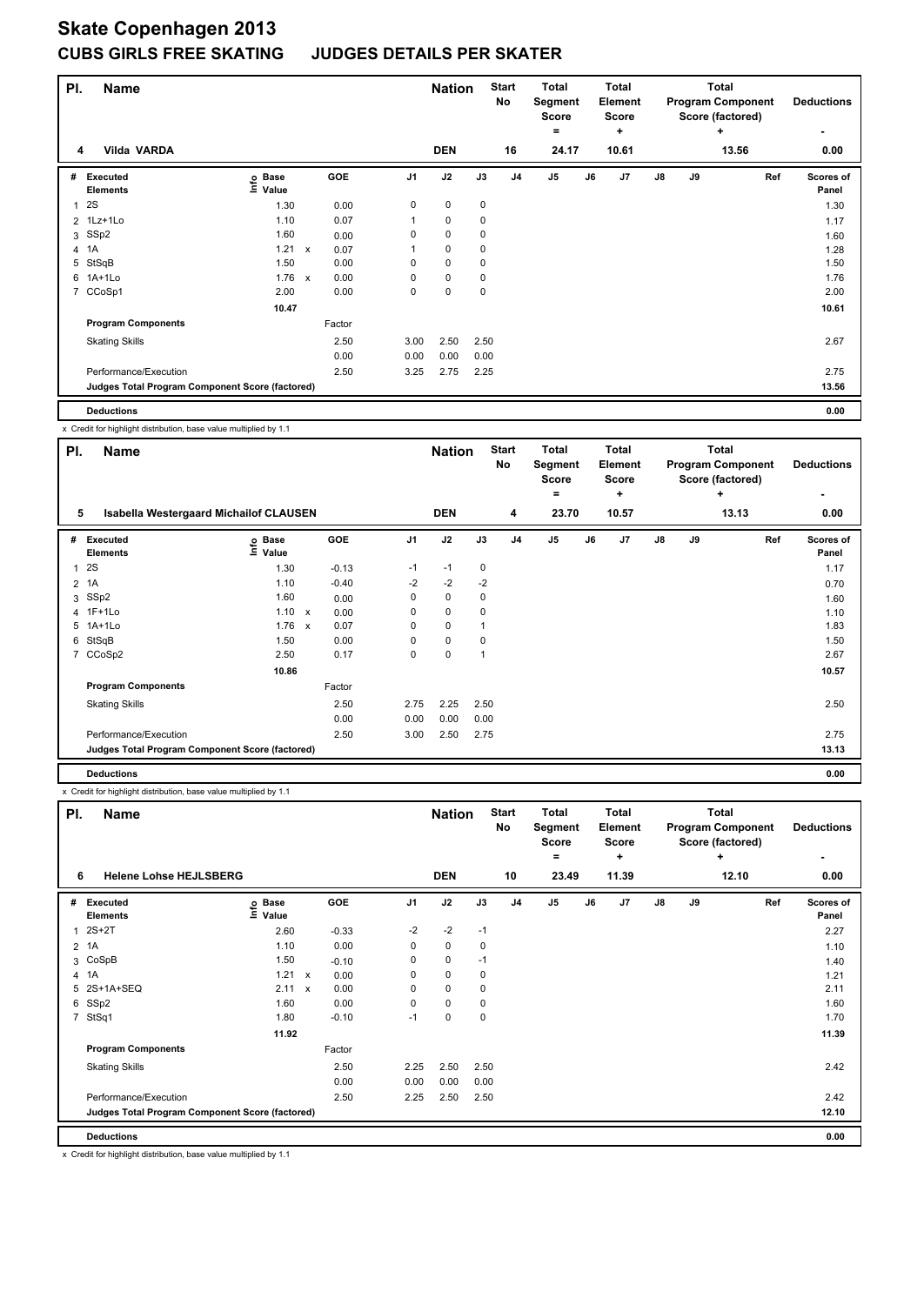| PI. | <b>Name</b>                                     |                            |              |            |                | <b>Nation</b> |             | <b>Start</b><br>No | <b>Total</b><br>Segment<br><b>Score</b><br>۰ |    | Total<br><b>Element</b><br><b>Score</b><br>÷ |    |    | <b>Total</b><br><b>Program Component</b><br>Score (factored)<br>÷ |     | <b>Deductions</b>  |
|-----|-------------------------------------------------|----------------------------|--------------|------------|----------------|---------------|-------------|--------------------|----------------------------------------------|----|----------------------------------------------|----|----|-------------------------------------------------------------------|-----|--------------------|
|     | <b>Vilda VARDA</b><br>4                         |                            |              |            |                | <b>DEN</b>    |             | 16                 | 24.17                                        |    | 10.61                                        |    |    | 13.56                                                             |     | ۰<br>0.00          |
| #   | <b>Executed</b><br><b>Elements</b>              | <b>Base</b><br>۴ô<br>Value |              | <b>GOE</b> | J <sub>1</sub> | J2            | J3          | J <sub>4</sub>     | J <sub>5</sub>                               | J6 | J7                                           | J8 | J9 |                                                                   | Ref | Scores of<br>Panel |
| 1   | 2S                                              | 1.30                       |              | 0.00       | 0              | $\mathbf 0$   | $\mathbf 0$ |                    |                                              |    |                                              |    |    |                                                                   |     | 1.30               |
|     | 2 1Lz+1Lo                                       | 1.10                       |              | 0.07       | 1              | $\pmb{0}$     | 0           |                    |                                              |    |                                              |    |    |                                                                   |     | 1.17               |
| 3   | SSp2                                            | 1.60                       |              | 0.00       | 0              | 0             | 0           |                    |                                              |    |                                              |    |    |                                                                   |     | 1.60               |
|     | 4 1A                                            | 1.21                       | $\mathsf{x}$ | 0.07       |                | $\mathbf 0$   | 0           |                    |                                              |    |                                              |    |    |                                                                   |     | 1.28               |
| 5   | StSqB                                           | 1.50                       |              | 0.00       | 0              | $\mathbf 0$   | $\mathbf 0$ |                    |                                              |    |                                              |    |    |                                                                   |     | 1.50               |
|     | 6 1A+1Lo                                        | 1.76                       | $\mathsf{x}$ | 0.00       | 0              | 0             | 0           |                    |                                              |    |                                              |    |    |                                                                   |     | 1.76               |
| 7   | CCoSp1                                          | 2.00                       |              | 0.00       | 0              | $\pmb{0}$     | 0           |                    |                                              |    |                                              |    |    |                                                                   |     | 2.00               |
|     |                                                 | 10.47                      |              |            |                |               |             |                    |                                              |    |                                              |    |    |                                                                   |     | 10.61              |
|     | <b>Program Components</b>                       |                            |              | Factor     |                |               |             |                    |                                              |    |                                              |    |    |                                                                   |     |                    |
|     | <b>Skating Skills</b>                           |                            |              | 2.50       | 3.00           | 2.50          | 2.50        |                    |                                              |    |                                              |    |    |                                                                   |     | 2.67               |
|     |                                                 |                            |              | 0.00       | 0.00           | 0.00          | 0.00        |                    |                                              |    |                                              |    |    |                                                                   |     |                    |
|     | Performance/Execution                           |                            |              | 2.50       | 3.25           | 2.75          | 2.25        |                    |                                              |    |                                              |    |    |                                                                   |     | 2.75               |
|     | Judges Total Program Component Score (factored) |                            |              |            |                |               |             |                    |                                              |    |                                              |    |    |                                                                   |     | 13.56              |

**Deductions 0.00**

x Credit for highlight distribution, base value multiplied by 1.1

| PI. | <b>Name</b>                                     |                   |            |                | <b>Nation</b> |          | <b>Start</b><br>No | <b>Total</b><br>Segment<br><b>Score</b> |    | <b>Total</b><br>Element<br>Score |    |    | <b>Total</b><br><b>Program Component</b><br>Score (factored) | <b>Deductions</b>  |
|-----|-------------------------------------------------|-------------------|------------|----------------|---------------|----------|--------------------|-----------------------------------------|----|----------------------------------|----|----|--------------------------------------------------------------|--------------------|
| 5   | <b>Isabella Westergaard Michailof CLAUSEN</b>   |                   |            |                | <b>DEN</b>    |          | 4                  | =<br>23.70                              |    | ÷<br>10.57                       |    |    | ÷<br>13.13                                                   | ۰<br>0.00          |
|     |                                                 |                   |            |                |               |          |                    |                                         |    |                                  |    |    |                                                              |                    |
| #   | Executed<br><b>Elements</b>                     | e Base<br>E Value | <b>GOE</b> | J <sub>1</sub> | J2            | J3       | J <sub>4</sub>     | J <sub>5</sub>                          | J6 | J <sub>7</sub>                   | J8 | J9 | Ref                                                          | Scores of<br>Panel |
| 1   | 2S                                              | 1.30              | $-0.13$    | $-1$           | $-1$          | 0        |                    |                                         |    |                                  |    |    |                                                              | 1.17               |
| 2   | 1A                                              | 1.10              | $-0.40$    | $-2$           | $-2$          | $-2$     |                    |                                         |    |                                  |    |    |                                                              | 0.70               |
| 3   | SSp2                                            | 1.60              | 0.00       | 0              | $\mathbf 0$   | 0        |                    |                                         |    |                                  |    |    |                                                              | 1.60               |
|     | 4 1F+1Lo                                        | 1.10 x            | 0.00       | 0              | $\mathbf 0$   | $\Omega$ |                    |                                         |    |                                  |    |    |                                                              | 1.10               |
|     | 5 1A+1Lo                                        | 1.76 x            | 0.07       | 0              | $\mathbf 0$   | 1        |                    |                                         |    |                                  |    |    |                                                              | 1.83               |
| 6   | StSqB                                           | 1.50              | 0.00       | 0              | $\pmb{0}$     | 0        |                    |                                         |    |                                  |    |    |                                                              | 1.50               |
|     | 7 CCoSp2                                        | 2.50              | 0.17       | 0              | 0             |          |                    |                                         |    |                                  |    |    |                                                              | 2.67               |
|     |                                                 | 10.86             |            |                |               |          |                    |                                         |    |                                  |    |    |                                                              | 10.57              |
|     | <b>Program Components</b>                       |                   | Factor     |                |               |          |                    |                                         |    |                                  |    |    |                                                              |                    |
|     | <b>Skating Skills</b>                           |                   | 2.50       | 2.75           | 2.25          | 2.50     |                    |                                         |    |                                  |    |    |                                                              | 2.50               |
|     |                                                 |                   | 0.00       | 0.00           | 0.00          | 0.00     |                    |                                         |    |                                  |    |    |                                                              |                    |
|     | Performance/Execution                           |                   | 2.50       | 3.00           | 2.50          | 2.75     |                    |                                         |    |                                  |    |    |                                                              | 2.75               |
|     | Judges Total Program Component Score (factored) |                   |            |                |               |          |                    |                                         |    |                                  |    |    |                                                              | 13.13              |
|     | <b>Deductions</b>                               |                   |            |                |               |          |                    |                                         |    |                                  |    |    |                                                              | 0.00               |

x Credit for highlight distribution, base value multiplied by 1.1

| PI.            | <b>Name</b>                                     |                              |                           |            |                | <b>Nation</b> |      | <b>Start</b><br>No | <b>Total</b><br>Segment<br><b>Score</b><br>$=$ |    | <b>Total</b><br><b>Element</b><br><b>Score</b><br>٠ |               |    | <b>Total</b><br><b>Program Component</b><br>Score (factored)<br>÷ |     | <b>Deductions</b><br>٠    |
|----------------|-------------------------------------------------|------------------------------|---------------------------|------------|----------------|---------------|------|--------------------|------------------------------------------------|----|-----------------------------------------------------|---------------|----|-------------------------------------------------------------------|-----|---------------------------|
| 6              | <b>Helene Lohse HEJLSBERG</b>                   |                              |                           |            |                | <b>DEN</b>    |      | 10                 | 23.49                                          |    | 11.39                                               |               |    | 12.10                                                             |     | 0.00                      |
| #              | Executed<br><b>Elements</b>                     | <b>Base</b><br>lnfo<br>Value |                           | <b>GOE</b> | J <sub>1</sub> | J2            | J3   | J <sub>4</sub>     | J <sub>5</sub>                                 | J6 | J7                                                  | $\mathsf{J}8$ | J9 |                                                                   | Ref | <b>Scores of</b><br>Panel |
| 1              | $2S+2T$                                         | 2.60                         |                           | $-0.33$    | $-2$           | $-2$          | $-1$ |                    |                                                |    |                                                     |               |    |                                                                   |     | 2.27                      |
| $\overline{2}$ | 1A                                              | 1.10                         |                           | 0.00       | 0              | 0             | 0    |                    |                                                |    |                                                     |               |    |                                                                   |     | 1.10                      |
|                | 3 CoSpB                                         | 1.50                         |                           | $-0.10$    | 0              | $\mathbf 0$   | $-1$ |                    |                                                |    |                                                     |               |    |                                                                   |     | 1.40                      |
|                | 4 1A                                            | 1.21                         | $\mathsf{x}$              | 0.00       | 0              | $\mathbf 0$   | 0    |                    |                                                |    |                                                     |               |    |                                                                   |     | 1.21                      |
|                | 5 2S+1A+SEQ                                     | 2.11                         | $\boldsymbol{\mathsf{x}}$ | 0.00       | 0              | $\mathbf 0$   | 0    |                    |                                                |    |                                                     |               |    |                                                                   |     | 2.11                      |
| 6              | SSp2                                            | 1.60                         |                           | 0.00       | 0              | $\mathbf 0$   | 0    |                    |                                                |    |                                                     |               |    |                                                                   |     | 1.60                      |
| $\overline{7}$ | StSq1                                           | 1.80                         |                           | $-0.10$    | $-1$           | $\mathbf 0$   | 0    |                    |                                                |    |                                                     |               |    |                                                                   |     | 1.70                      |
|                |                                                 | 11.92                        |                           |            |                |               |      |                    |                                                |    |                                                     |               |    |                                                                   |     | 11.39                     |
|                | <b>Program Components</b>                       |                              |                           | Factor     |                |               |      |                    |                                                |    |                                                     |               |    |                                                                   |     |                           |
|                | <b>Skating Skills</b>                           |                              |                           | 2.50       | 2.25           | 2.50          | 2.50 |                    |                                                |    |                                                     |               |    |                                                                   |     | 2.42                      |
|                |                                                 |                              |                           | 0.00       | 0.00           | 0.00          | 0.00 |                    |                                                |    |                                                     |               |    |                                                                   |     |                           |
|                | Performance/Execution                           |                              |                           | 2.50       | 2.25           | 2.50          | 2.50 |                    |                                                |    |                                                     |               |    |                                                                   |     | 2.42                      |
|                | Judges Total Program Component Score (factored) |                              |                           |            |                |               |      |                    |                                                |    |                                                     |               |    |                                                                   |     | 12.10                     |
|                | <b>Deductions</b>                               |                              |                           |            |                |               |      |                    |                                                |    |                                                     |               |    |                                                                   |     | 0.00                      |

x Credit for highlight distribution, base value multiplied by 1.1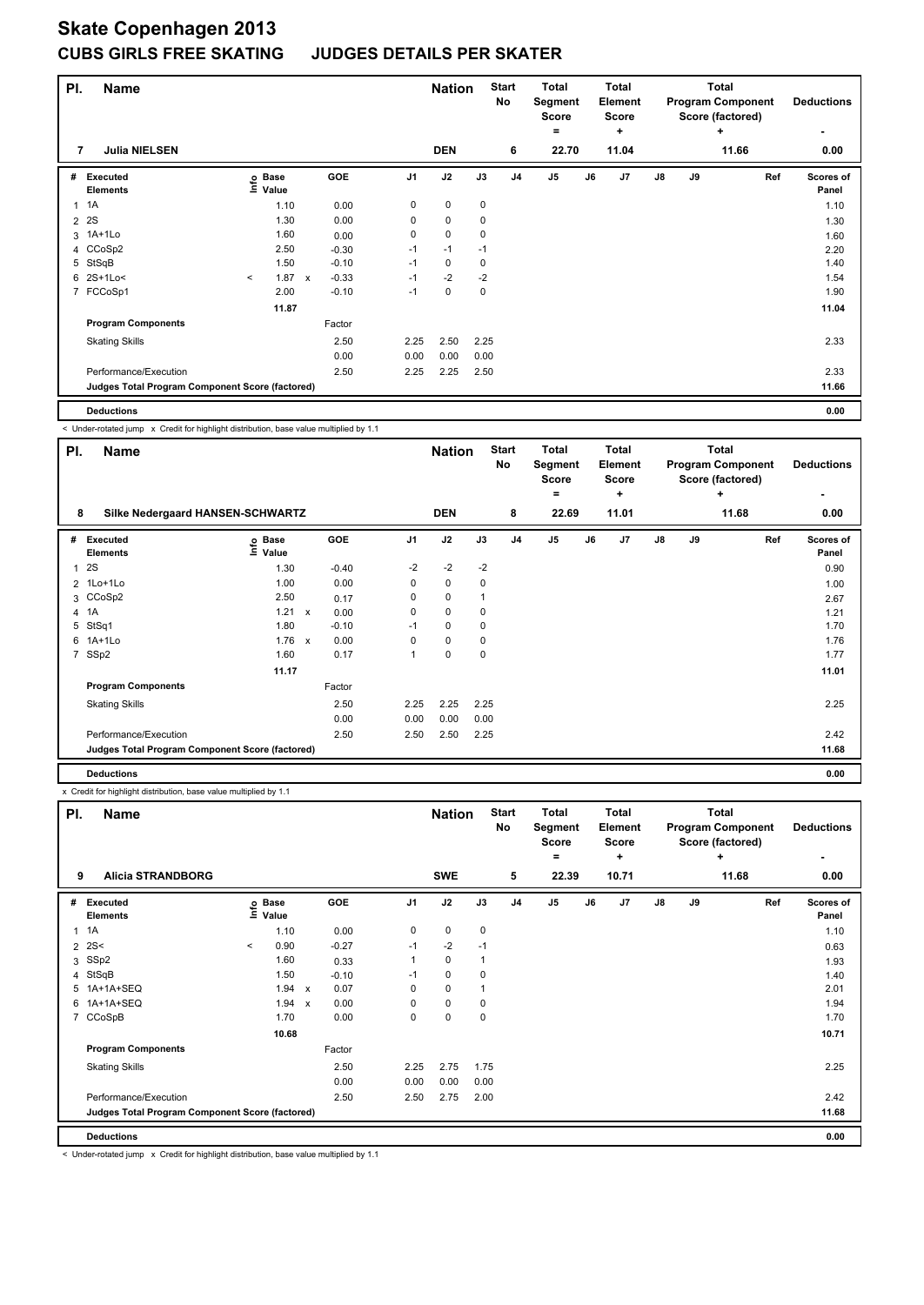| PI.            | <b>Name</b>                                     |         |                                  |              |         |                | <b>Nation</b> |             | <b>Start</b><br>No | <b>Total</b><br>Segment<br><b>Score</b><br>= |    | <b>Total</b><br>Element<br><b>Score</b><br>÷ |               |    | <b>Total</b><br><b>Program Component</b><br>Score (factored)<br>÷ |     | <b>Deductions</b><br>٠ |
|----------------|-------------------------------------------------|---------|----------------------------------|--------------|---------|----------------|---------------|-------------|--------------------|----------------------------------------------|----|----------------------------------------------|---------------|----|-------------------------------------------------------------------|-----|------------------------|
| 7              | <b>Julia NIELSEN</b>                            |         |                                  |              |         |                | <b>DEN</b>    |             | 6                  | 22.70                                        |    | 11.04                                        |               |    | 11.66                                                             |     | 0.00                   |
| #              | Executed<br><b>Elements</b>                     |         | <b>Base</b><br>e Base<br>⊆ Value |              | GOE     | J <sub>1</sub> | J2            | J3          | J <sub>4</sub>     | J5                                           | J6 | J7                                           | $\mathsf{J}8$ | J9 |                                                                   | Ref | Scores of<br>Panel     |
| 1              | 1A                                              |         | 1.10                             |              | 0.00    | 0              | $\pmb{0}$     | $\pmb{0}$   |                    |                                              |    |                                              |               |    |                                                                   |     | 1.10                   |
| $\overline{2}$ | 2S                                              |         | 1.30                             |              | 0.00    | 0              | $\mathbf 0$   | 0           |                    |                                              |    |                                              |               |    |                                                                   |     | 1.30                   |
| 3              | 1A+1Lo                                          |         | 1.60                             |              | 0.00    | 0              | $\mathbf 0$   | 0           |                    |                                              |    |                                              |               |    |                                                                   |     | 1.60                   |
|                | 4 CCoSp2                                        |         | 2.50                             |              | $-0.30$ | $-1$           | $-1$          | $-1$        |                    |                                              |    |                                              |               |    |                                                                   |     | 2.20                   |
| 5              | StSqB                                           |         | 1.50                             |              | $-0.10$ | $-1$           | 0             | 0           |                    |                                              |    |                                              |               |    |                                                                   |     | 1.40                   |
| 6              | 2S+1Lo<                                         | $\prec$ | 1.87                             | $\mathsf{x}$ | $-0.33$ | $-1$           | $-2$          | $-2$        |                    |                                              |    |                                              |               |    |                                                                   |     | 1.54                   |
|                | 7 FCCoSp1                                       |         | 2.00                             |              | $-0.10$ | $-1$           | $\mathbf 0$   | $\mathbf 0$ |                    |                                              |    |                                              |               |    |                                                                   |     | 1.90                   |
|                |                                                 |         | 11.87                            |              |         |                |               |             |                    |                                              |    |                                              |               |    |                                                                   |     | 11.04                  |
|                | <b>Program Components</b>                       |         |                                  |              | Factor  |                |               |             |                    |                                              |    |                                              |               |    |                                                                   |     |                        |
|                | <b>Skating Skills</b>                           |         |                                  |              | 2.50    | 2.25           | 2.50          | 2.25        |                    |                                              |    |                                              |               |    |                                                                   |     | 2.33                   |
|                |                                                 |         |                                  |              | 0.00    | 0.00           | 0.00          | 0.00        |                    |                                              |    |                                              |               |    |                                                                   |     |                        |
|                | Performance/Execution                           |         |                                  |              | 2.50    | 2.25           | 2.25          | 2.50        |                    |                                              |    |                                              |               |    |                                                                   |     | 2.33                   |
|                | Judges Total Program Component Score (factored) |         |                                  |              |         |                |               |             |                    |                                              |    |                                              |               |    |                                                                   |     | 11.66                  |

**Deductions 0.00**

< Under-rotated jump x Credit for highlight distribution, base value multiplied by 1.1

| PI.            | <b>Name</b>                                     |                   |              |            |                | <b>Nation</b> |      | <b>Start</b><br>No | <b>Total</b><br>Segment<br><b>Score</b> |       | <b>Total</b><br>Element<br>Score |               |    | <b>Total</b><br><b>Program Component</b><br>Score (factored) | <b>Deductions</b>  |
|----------------|-------------------------------------------------|-------------------|--------------|------------|----------------|---------------|------|--------------------|-----------------------------------------|-------|----------------------------------|---------------|----|--------------------------------------------------------------|--------------------|
|                |                                                 |                   |              |            |                |               |      |                    | ۰                                       |       | ÷                                |               |    | ÷                                                            |                    |
| 8              | Silke Nedergaard HANSEN-SCHWARTZ                |                   |              |            |                | <b>DEN</b>    |      | 8                  |                                         | 22.69 | 11.01                            |               |    | 11.68                                                        | 0.00               |
| #              | Executed<br><b>Elements</b>                     | e Base<br>E Value |              | <b>GOE</b> | J <sub>1</sub> | J2            | J3   | J <sub>4</sub>     | J <sub>5</sub>                          | J6    | J7                               | $\mathsf{J}8$ | J9 | Ref                                                          | Scores of<br>Panel |
| $\mathbf{1}$   | 2S                                              | 1.30              |              | $-0.40$    | $-2$           | $-2$          | $-2$ |                    |                                         |       |                                  |               |    |                                                              | 0.90               |
| $\overline{2}$ | 1Lo+1Lo                                         | 1.00              |              | 0.00       | 0              | $\mathbf 0$   | 0    |                    |                                         |       |                                  |               |    |                                                              | 1.00               |
|                | 3 CCoSp2                                        | 2.50              |              | 0.17       | 0              | $\mathbf 0$   | 1    |                    |                                         |       |                                  |               |    |                                                              | 2.67               |
| 4              | 1A                                              | 1.21              | $\mathsf{x}$ | 0.00       | 0              | 0             | 0    |                    |                                         |       |                                  |               |    |                                                              | 1.21               |
| 5              | StSq1                                           | 1.80              |              | $-0.10$    | $-1$           | 0             | 0    |                    |                                         |       |                                  |               |    |                                                              | 1.70               |
|                | 6 1A+1Lo                                        | 1.76              | $\mathbf{x}$ | 0.00       | $\Omega$       | $\mathbf 0$   | 0    |                    |                                         |       |                                  |               |    |                                                              | 1.76               |
| 7              | SSp2                                            | 1.60              |              | 0.17       | 1              | $\pmb{0}$     | 0    |                    |                                         |       |                                  |               |    |                                                              | 1.77               |
|                |                                                 | 11.17             |              |            |                |               |      |                    |                                         |       |                                  |               |    |                                                              | 11.01              |
|                | <b>Program Components</b>                       |                   |              | Factor     |                |               |      |                    |                                         |       |                                  |               |    |                                                              |                    |
|                | <b>Skating Skills</b>                           |                   |              | 2.50       | 2.25           | 2.25          | 2.25 |                    |                                         |       |                                  |               |    |                                                              | 2.25               |
|                |                                                 |                   |              | 0.00       | 0.00           | 0.00          | 0.00 |                    |                                         |       |                                  |               |    |                                                              |                    |
|                | Performance/Execution                           |                   |              | 2.50       | 2.50           | 2.50          | 2.25 |                    |                                         |       |                                  |               |    |                                                              | 2.42               |
|                | Judges Total Program Component Score (factored) |                   |              |            |                |               |      |                    |                                         |       |                                  |               |    |                                                              | 11.68              |
|                | <b>Deductions</b>                               |                   |              |            |                |               |      |                    |                                         |       |                                  |               |    |                                                              | 0.00               |

x Credit for highlight distribution, base value multiplied by 1.1

| PI.            | <b>Name</b>                                     |         |                                  |                           |            |                | <b>Nation</b> |      | <b>Start</b><br>No | <b>Total</b><br>Segment<br><b>Score</b> |    | <b>Total</b><br>Element<br><b>Score</b> |               |    | <b>Total</b><br><b>Program Component</b><br>Score (factored) |     | <b>Deductions</b>         |
|----------------|-------------------------------------------------|---------|----------------------------------|---------------------------|------------|----------------|---------------|------|--------------------|-----------------------------------------|----|-----------------------------------------|---------------|----|--------------------------------------------------------------|-----|---------------------------|
|                |                                                 |         |                                  |                           |            |                |               |      |                    | =                                       |    | ÷                                       |               |    | ÷                                                            |     | ۰                         |
| 9              | <b>Alicia STRANDBORG</b>                        |         |                                  |                           |            |                | <b>SWE</b>    |      | 5                  | 22.39                                   |    | 10.71                                   |               |    | 11.68                                                        |     | 0.00                      |
| #              | Executed<br><b>Elements</b>                     |         | <b>Base</b><br>e Base<br>⊆ Value |                           | <b>GOE</b> | J <sub>1</sub> | J2            | J3   | J <sub>4</sub>     | J5                                      | J6 | J7                                      | $\mathsf{J}8$ | J9 |                                                              | Ref | <b>Scores of</b><br>Panel |
| $\overline{1}$ | 1A                                              |         | 1.10                             |                           | 0.00       | 0              | $\mathbf 0$   | 0    |                    |                                         |    |                                         |               |    |                                                              |     | 1.10                      |
| $\overline{2}$ | 2S<                                             | $\,<\,$ | 0.90                             |                           | $-0.27$    | $-1$           | $-2$          | $-1$ |                    |                                         |    |                                         |               |    |                                                              |     | 0.63                      |
| 3              | SSp2                                            |         | 1.60                             |                           | 0.33       | 1              | $\mathbf 0$   |      |                    |                                         |    |                                         |               |    |                                                              |     | 1.93                      |
| 4              | StSqB                                           |         | 1.50                             |                           | $-0.10$    | $-1$           | 0             | 0    |                    |                                         |    |                                         |               |    |                                                              |     | 1.40                      |
|                | 5 1A+1A+SEQ                                     |         | 1.94                             | $\boldsymbol{\mathsf{x}}$ | 0.07       | 0              | $\mathbf 0$   |      |                    |                                         |    |                                         |               |    |                                                              |     | 2.01                      |
| 6              | 1A+1A+SEQ                                       |         | 1.94                             | $\boldsymbol{\mathsf{x}}$ | 0.00       | 0              | $\mathbf 0$   | 0    |                    |                                         |    |                                         |               |    |                                                              |     | 1.94                      |
| $\overline{7}$ | CCoSpB                                          |         | 1.70                             |                           | 0.00       | 0              | $\mathbf 0$   | 0    |                    |                                         |    |                                         |               |    |                                                              |     | 1.70                      |
|                |                                                 |         | 10.68                            |                           |            |                |               |      |                    |                                         |    |                                         |               |    |                                                              |     | 10.71                     |
|                | <b>Program Components</b>                       |         |                                  |                           | Factor     |                |               |      |                    |                                         |    |                                         |               |    |                                                              |     |                           |
|                | <b>Skating Skills</b>                           |         |                                  |                           | 2.50       | 2.25           | 2.75          | 1.75 |                    |                                         |    |                                         |               |    |                                                              |     | 2.25                      |
|                |                                                 |         |                                  |                           | 0.00       | 0.00           | 0.00          | 0.00 |                    |                                         |    |                                         |               |    |                                                              |     |                           |
|                | Performance/Execution                           |         |                                  |                           | 2.50       | 2.50           | 2.75          | 2.00 |                    |                                         |    |                                         |               |    |                                                              |     | 2.42                      |
|                | Judges Total Program Component Score (factored) |         |                                  |                           |            |                |               |      |                    |                                         |    |                                         |               |    |                                                              |     | 11.68                     |
|                | <b>Deductions</b>                               |         |                                  |                           |            |                |               |      |                    |                                         |    |                                         |               |    |                                                              |     | 0.00                      |

< Under-rotated jump x Credit for highlight distribution, base value multiplied by 1.1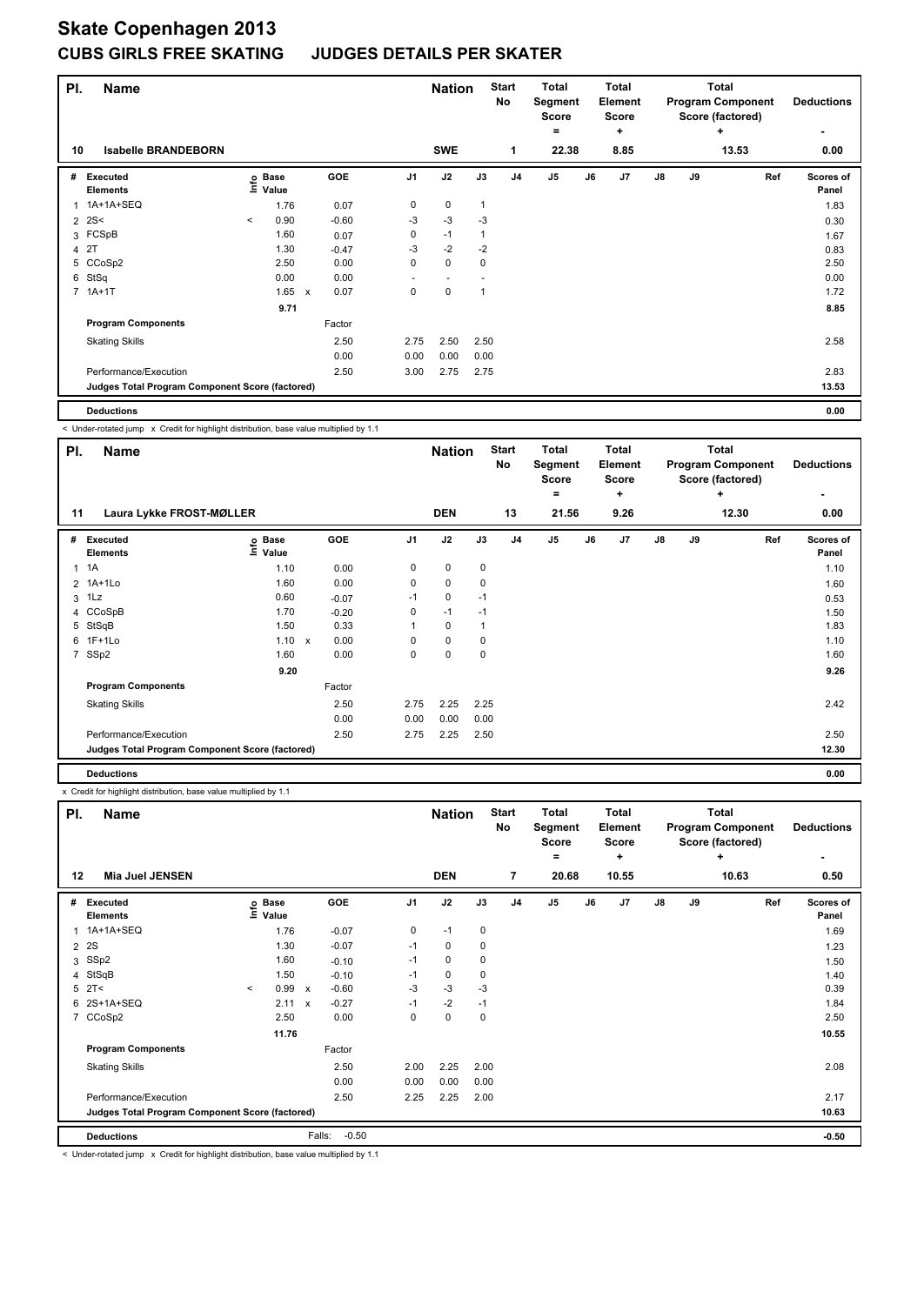| PI.            | <b>Name</b>                                     |         |                      |                           |            |      | <b>Nation</b> |              | <b>Start</b><br><b>No</b> | <b>Total</b><br>Segment<br><b>Score</b><br>$=$ |    | Total<br><b>Element</b><br><b>Score</b><br>٠ |               |    | <b>Total</b><br><b>Program Component</b><br>Score (factored)<br>÷ | <b>Deductions</b><br>٠    |
|----------------|-------------------------------------------------|---------|----------------------|---------------------------|------------|------|---------------|--------------|---------------------------|------------------------------------------------|----|----------------------------------------------|---------------|----|-------------------------------------------------------------------|---------------------------|
| 10             | <b>Isabelle BRANDEBORN</b>                      |         |                      |                           |            |      | <b>SWE</b>    |              | $\mathbf{1}$              | 22.38                                          |    | 8.85                                         |               |    | 13.53                                                             | 0.00                      |
| #              | <b>Executed</b><br><b>Elements</b>              | ١nfo    | <b>Base</b><br>Value |                           | <b>GOE</b> | J1   | J2            | J3           | J <sub>4</sub>            | J5                                             | J6 | J <sub>7</sub>                               | $\mathsf{J}8$ | J9 | Ref                                                               | <b>Scores of</b><br>Panel |
|                | 1 1A+1A+SEQ                                     |         | 1.76                 |                           | 0.07       | 0    | 0             | $\mathbf{1}$ |                           |                                                |    |                                              |               |    |                                                                   | 1.83                      |
| $\overline{2}$ | 2S<                                             | $\prec$ | 0.90                 |                           | $-0.60$    | $-3$ | $-3$          | $-3$         |                           |                                                |    |                                              |               |    |                                                                   | 0.30                      |
|                | 3 FCSpB                                         |         | 1.60                 |                           | 0.07       | 0    | $-1$          | 1            |                           |                                                |    |                                              |               |    |                                                                   | 1.67                      |
|                | 4 2T                                            |         | 1.30                 |                           | $-0.47$    | -3   | $-2$          | $-2$         |                           |                                                |    |                                              |               |    |                                                                   | 0.83                      |
|                | 5 CCoSp2                                        |         | 2.50                 |                           | 0.00       | 0    | $\mathbf 0$   | $\mathbf 0$  |                           |                                                |    |                                              |               |    |                                                                   | 2.50                      |
| 6              | StSq                                            |         | 0.00                 |                           | 0.00       |      |               |              |                           |                                                |    |                                              |               |    |                                                                   | 0.00                      |
|                | 7 1A+1T                                         |         | 1.65                 | $\boldsymbol{\mathsf{x}}$ | 0.07       | 0    | $\mathbf 0$   |              |                           |                                                |    |                                              |               |    |                                                                   | 1.72                      |
|                |                                                 |         | 9.71                 |                           |            |      |               |              |                           |                                                |    |                                              |               |    |                                                                   | 8.85                      |
|                | <b>Program Components</b>                       |         |                      |                           | Factor     |      |               |              |                           |                                                |    |                                              |               |    |                                                                   |                           |
|                | <b>Skating Skills</b>                           |         |                      |                           | 2.50       | 2.75 | 2.50          | 2.50         |                           |                                                |    |                                              |               |    |                                                                   | 2.58                      |
|                |                                                 |         |                      |                           | 0.00       | 0.00 | 0.00          | 0.00         |                           |                                                |    |                                              |               |    |                                                                   |                           |
|                | Performance/Execution                           |         |                      |                           | 2.50       | 3.00 | 2.75          | 2.75         |                           |                                                |    |                                              |               |    |                                                                   | 2.83                      |
|                | Judges Total Program Component Score (factored) |         |                      |                           |            |      |               |              |                           |                                                |    |                                              |               |    |                                                                   | 13.53                     |
|                |                                                 |         |                      |                           |            |      |               |              |                           |                                                |    |                                              |               |    |                                                                   |                           |

**Deductions 0.00**

< Under-rotated jump x Credit for highlight distribution, base value multiplied by 1.1

| PI.            | <b>Name</b>                                     |                      |            |                | <b>Nation</b> |      | <b>Start</b><br>No | Total<br>Segment<br><b>Score</b> |    | <b>Total</b><br>Element<br><b>Score</b> |               |    | <b>Total</b><br><b>Program Component</b><br>Score (factored) | <b>Deductions</b>  |
|----------------|-------------------------------------------------|----------------------|------------|----------------|---------------|------|--------------------|----------------------------------|----|-----------------------------------------|---------------|----|--------------------------------------------------------------|--------------------|
|                |                                                 |                      |            |                |               |      |                    | ۰                                |    | ÷                                       |               |    | ÷                                                            |                    |
| 11             | Laura Lykke FROST-MØLLER                        |                      |            |                | <b>DEN</b>    |      | 13                 | 21.56                            |    | 9.26                                    |               |    | 12.30                                                        | 0.00               |
| #              | Executed<br><b>Elements</b>                     | e Base<br>E Value    | <b>GOE</b> | J <sub>1</sub> | J2            | J3   | J <sub>4</sub>     | J <sub>5</sub>                   | J6 | J7                                      | $\mathsf{J}8$ | J9 | Ref                                                          | Scores of<br>Panel |
| 1              | 1A                                              | 1.10                 | 0.00       | 0              | $\mathbf 0$   | 0    |                    |                                  |    |                                         |               |    |                                                              | 1.10               |
| $\overline{2}$ | 1A+1Lo                                          | 1.60                 | 0.00       | 0              | $\mathbf 0$   | 0    |                    |                                  |    |                                         |               |    |                                                              | 1.60               |
| 3              | 1Lz                                             | 0.60                 | $-0.07$    | $-1$           | 0             | $-1$ |                    |                                  |    |                                         |               |    |                                                              | 0.53               |
|                | 4 CCoSpB                                        | 1.70                 | $-0.20$    | 0              | $-1$          | $-1$ |                    |                                  |    |                                         |               |    |                                                              | 1.50               |
| 5              | StSqB                                           | 1.50                 | 0.33       |                | 0             | 1    |                    |                                  |    |                                         |               |    |                                                              | 1.83               |
|                | 6 1F+1Lo                                        | 1.10<br>$\mathsf{x}$ | 0.00       | 0              | $\mathbf 0$   | 0    |                    |                                  |    |                                         |               |    |                                                              | 1.10               |
| 7              | SSp2                                            | 1.60                 | 0.00       | 0              | $\mathbf 0$   | 0    |                    |                                  |    |                                         |               |    |                                                              | 1.60               |
|                |                                                 | 9.20                 |            |                |               |      |                    |                                  |    |                                         |               |    |                                                              | 9.26               |
|                | <b>Program Components</b>                       |                      | Factor     |                |               |      |                    |                                  |    |                                         |               |    |                                                              |                    |
|                | <b>Skating Skills</b>                           |                      | 2.50       | 2.75           | 2.25          | 2.25 |                    |                                  |    |                                         |               |    |                                                              | 2.42               |
|                |                                                 |                      | 0.00       | 0.00           | 0.00          | 0.00 |                    |                                  |    |                                         |               |    |                                                              |                    |
|                | Performance/Execution                           |                      | 2.50       | 2.75           | 2.25          | 2.50 |                    |                                  |    |                                         |               |    |                                                              | 2.50               |
|                | Judges Total Program Component Score (factored) |                      |            |                |               |      |                    |                                  |    |                                         |               |    |                                                              | 12.30              |
|                | <b>Deductions</b>                               |                      |            |                |               |      |                    |                                  |    |                                         |               |    |                                                              | 0.00               |

x Credit for highlight distribution, base value multiplied by 1.1

| PI.            | <b>Name</b>                                     |         |                      |                           |                   |                | <b>Nation</b> |      | <b>Start</b><br>No | <b>Total</b><br>Segment<br><b>Score</b> |    | <b>Total</b><br>Element<br><b>Score</b> |               |    | <b>Total</b><br><b>Program Component</b><br>Score (factored) | <b>Deductions</b>  |
|----------------|-------------------------------------------------|---------|----------------------|---------------------------|-------------------|----------------|---------------|------|--------------------|-----------------------------------------|----|-----------------------------------------|---------------|----|--------------------------------------------------------------|--------------------|
| 12             | Mia Juel JENSEN                                 |         |                      |                           |                   |                | <b>DEN</b>    |      | $\overline{7}$     | =<br>20.68                              |    | ÷<br>10.55                              |               |    | ÷<br>10.63                                                   | ۰<br>0.50          |
| #              | Executed<br><b>Elements</b>                     | ۴ů      | <b>Base</b><br>Value |                           | <b>GOE</b>        | J <sub>1</sub> | J2            | J3   | J <sub>4</sub>     | $\mathsf{J}5$                           | J6 | J7                                      | $\mathsf{J}8$ | J9 | Ref                                                          | Scores of<br>Panel |
|                | 1 1A+1A+SEQ                                     |         | 1.76                 |                           | $-0.07$           | 0              | $-1$          | 0    |                    |                                         |    |                                         |               |    |                                                              | 1.69               |
| $\overline{2}$ | 2S                                              |         | 1.30                 |                           | $-0.07$           | $-1$           | 0             | 0    |                    |                                         |    |                                         |               |    |                                                              | 1.23               |
| 3              | SSp2                                            |         | 1.60                 |                           | $-0.10$           | $-1$           | 0             | 0    |                    |                                         |    |                                         |               |    |                                                              | 1.50               |
| 4              | StSqB                                           |         | 1.50                 |                           | $-0.10$           | $-1$           | 0             | 0    |                    |                                         |    |                                         |               |    |                                                              | 1.40               |
|                | $5$ 2T<                                         | $\prec$ | 0.99                 | $\mathsf{x}$              | $-0.60$           | $-3$           | $-3$          | $-3$ |                    |                                         |    |                                         |               |    |                                                              | 0.39               |
|                | 6 2S+1A+SEQ                                     |         | 2.11                 | $\boldsymbol{\mathsf{x}}$ | $-0.27$           | $-1$           | $-2$          | $-1$ |                    |                                         |    |                                         |               |    |                                                              | 1.84               |
|                | 7 CCoSp2                                        |         | 2.50                 |                           | 0.00              | 0              | 0             | 0    |                    |                                         |    |                                         |               |    |                                                              | 2.50               |
|                |                                                 |         | 11.76                |                           |                   |                |               |      |                    |                                         |    |                                         |               |    |                                                              | 10.55              |
|                | <b>Program Components</b>                       |         |                      |                           | Factor            |                |               |      |                    |                                         |    |                                         |               |    |                                                              |                    |
|                | <b>Skating Skills</b>                           |         |                      |                           | 2.50              | 2.00           | 2.25          | 2.00 |                    |                                         |    |                                         |               |    |                                                              | 2.08               |
|                |                                                 |         |                      |                           | 0.00              | 0.00           | 0.00          | 0.00 |                    |                                         |    |                                         |               |    |                                                              |                    |
|                | Performance/Execution                           |         |                      |                           | 2.50              | 2.25           | 2.25          | 2.00 |                    |                                         |    |                                         |               |    |                                                              | 2.17               |
|                | Judges Total Program Component Score (factored) |         |                      |                           |                   |                |               |      |                    |                                         |    |                                         |               |    |                                                              | 10.63              |
|                | <b>Deductions</b>                               |         |                      |                           | Falls:<br>$-0.50$ |                |               |      |                    |                                         |    |                                         |               |    |                                                              | $-0.50$            |

< Under-rotated jump x Credit for highlight distribution, base value multiplied by 1.1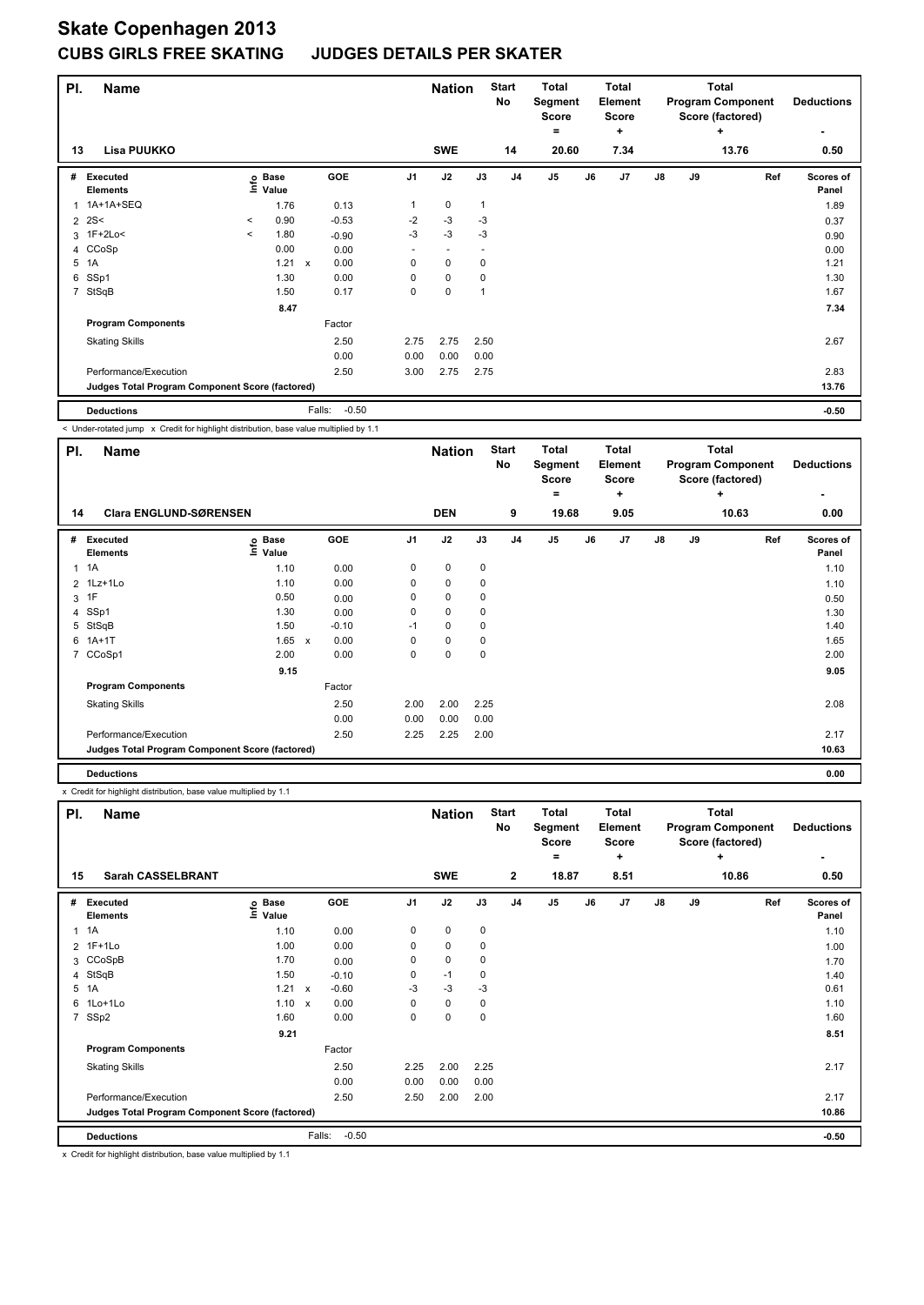| PI.            | <b>Name</b>                                     |                          |                   |              |            |                | <b>Nation</b> |              | <b>Start</b><br>No | <b>Total</b><br>Segment<br><b>Score</b><br>$=$ |    | <b>Total</b><br><b>Element</b><br><b>Score</b><br>٠ |               |    | <b>Total</b><br><b>Program Component</b><br>Score (factored)<br>٠ | <b>Deductions</b><br>٠ |
|----------------|-------------------------------------------------|--------------------------|-------------------|--------------|------------|----------------|---------------|--------------|--------------------|------------------------------------------------|----|-----------------------------------------------------|---------------|----|-------------------------------------------------------------------|------------------------|
| 13             | Lisa PUUKKO                                     |                          |                   |              |            |                | <b>SWE</b>    |              | 14                 | 20.60                                          |    | 7.34                                                |               |    | 13.76                                                             | 0.50                   |
| #              | <b>Executed</b><br><b>Elements</b>              |                          | o Base<br>⊆ Value |              | <b>GOE</b> | J <sub>1</sub> | J2            | J3           | J <sub>4</sub>     | J5                                             | J6 | J7                                                  | $\mathsf{J}8$ | J9 | Ref                                                               | Scores of<br>Panel     |
| 1              | 1A+1A+SEQ                                       |                          | 1.76              |              | 0.13       |                | $\pmb{0}$     | $\mathbf{1}$ |                    |                                                |    |                                                     |               |    |                                                                   | 1.89                   |
| 2              | 2S<                                             | $\,<\,$                  | 0.90              |              | $-0.53$    | $-2$           | -3            | -3           |                    |                                                |    |                                                     |               |    |                                                                   | 0.37                   |
|                | 3 1F+2Lo<                                       | $\overline{\phantom{a}}$ | 1.80              |              | $-0.90$    | $-3$           | -3            | -3           |                    |                                                |    |                                                     |               |    |                                                                   | 0.90                   |
|                | 4 CCoSp                                         |                          | 0.00              |              | 0.00       | ٠              | ٠             | ٠            |                    |                                                |    |                                                     |               |    |                                                                   | 0.00                   |
| 5              | 1A                                              |                          | 1.21              | $\mathsf{x}$ | 0.00       | 0              | $\mathbf 0$   | 0            |                    |                                                |    |                                                     |               |    |                                                                   | 1.21                   |
| 6              | SSp1                                            |                          | 1.30              |              | 0.00       | 0              | $\mathbf 0$   | 0            |                    |                                                |    |                                                     |               |    |                                                                   | 1.30                   |
| $\overline{7}$ | StSqB                                           |                          | 1.50              |              | 0.17       | 0              | $\pmb{0}$     | 1            |                    |                                                |    |                                                     |               |    |                                                                   | 1.67                   |
|                |                                                 |                          | 8.47              |              |            |                |               |              |                    |                                                |    |                                                     |               |    |                                                                   | 7.34                   |
|                | <b>Program Components</b>                       |                          |                   |              | Factor     |                |               |              |                    |                                                |    |                                                     |               |    |                                                                   |                        |
|                | <b>Skating Skills</b>                           |                          |                   |              | 2.50       | 2.75           | 2.75          | 2.50         |                    |                                                |    |                                                     |               |    |                                                                   | 2.67                   |
|                |                                                 |                          |                   |              | 0.00       | 0.00           | 0.00          | 0.00         |                    |                                                |    |                                                     |               |    |                                                                   |                        |
|                | Performance/Execution                           |                          |                   |              | 2.50       | 3.00           | 2.75          | 2.75         |                    |                                                |    |                                                     |               |    |                                                                   | 2.83                   |
|                | Judges Total Program Component Score (factored) |                          |                   |              |            |                |               |              |                    |                                                |    |                                                     |               |    |                                                                   | 13.76                  |
|                | <b>Deductions</b>                               |                          |                   | Falls:       | $-0.50$    |                |               |              |                    |                                                |    |                                                     |               |    |                                                                   | $-0.50$                |

< Under-rotated jump x Credit for highlight distribution, base value multiplied by 1.1

| PI.          | <b>Name</b>                                     |                                   |         |                | <b>Nation</b> |      | <b>Start</b><br>No | <b>Total</b><br>Segment<br><b>Score</b><br>= |    | <b>Total</b><br>Element<br><b>Score</b><br>÷ |               | <b>Total</b><br><b>Program Component</b><br>Score (factored) | <b>Deductions</b> |                    |
|--------------|-------------------------------------------------|-----------------------------------|---------|----------------|---------------|------|--------------------|----------------------------------------------|----|----------------------------------------------|---------------|--------------------------------------------------------------|-------------------|--------------------|
| 14           | <b>Clara ENGLUND-SØRENSEN</b>                   |                                   |         |                | <b>DEN</b>    |      | 9                  | 19.68                                        |    | 9.05                                         |               |                                                              | 10.63             | 0.00               |
| #            | Executed<br><b>Elements</b>                     | <b>Base</b><br>١nfo<br>Value      | GOE     | J <sub>1</sub> | J2            | J3   | J <sub>4</sub>     | J <sub>5</sub>                               | J6 | J7                                           | $\mathsf{J}8$ | J9                                                           | Ref               | Scores of<br>Panel |
| $\mathbf{1}$ | 1A                                              | 1.10                              | 0.00    | 0              | 0             | 0    |                    |                                              |    |                                              |               |                                                              |                   | 1.10               |
|              | 2 1Lz+1Lo                                       | 1.10                              | 0.00    | 0              | $\mathbf 0$   | 0    |                    |                                              |    |                                              |               |                                                              |                   | 1.10               |
|              | 3 1F                                            | 0.50                              | 0.00    | 0              | 0             | 0    |                    |                                              |    |                                              |               |                                                              |                   | 0.50               |
|              | 4 SSp1                                          | 1.30                              | 0.00    | $\mathbf 0$    | $\mathbf 0$   | 0    |                    |                                              |    |                                              |               |                                                              |                   | 1.30               |
| 5            | StSqB                                           | 1.50                              | $-0.10$ | $-1$           | 0             | 0    |                    |                                              |    |                                              |               |                                                              |                   | 1.40               |
| 6            | $1A+1T$                                         | 1.65<br>$\boldsymbol{\mathsf{x}}$ | 0.00    | 0              | $\pmb{0}$     | 0    |                    |                                              |    |                                              |               |                                                              |                   | 1.65               |
|              | 7 CCoSp1                                        | 2.00                              | 0.00    | 0              | $\pmb{0}$     | 0    |                    |                                              |    |                                              |               |                                                              |                   | 2.00               |
|              |                                                 | 9.15                              |         |                |               |      |                    |                                              |    |                                              |               |                                                              |                   | 9.05               |
|              | <b>Program Components</b>                       |                                   | Factor  |                |               |      |                    |                                              |    |                                              |               |                                                              |                   |                    |
|              | <b>Skating Skills</b>                           |                                   | 2.50    | 2.00           | 2.00          | 2.25 |                    |                                              |    |                                              |               |                                                              |                   | 2.08               |
|              |                                                 |                                   | 0.00    | 0.00           | 0.00          | 0.00 |                    |                                              |    |                                              |               |                                                              |                   |                    |
|              | Performance/Execution                           |                                   | 2.50    | 2.25           | 2.25          | 2.00 |                    |                                              |    |                                              |               |                                                              |                   | 2.17               |
|              | Judges Total Program Component Score (factored) |                                   |         |                |               |      |                    |                                              |    |                                              |               |                                                              |                   | 10.63              |
|              | <b>Deductions</b>                               |                                   |         |                |               |      |                    |                                              |    |                                              |               |                                                              |                   | 0.00               |

x Credit for highlight distribution, base value multiplied by 1.1

| PI.            | <b>Name</b>                                     |                            |                           |            |                | <b>Nation</b> |      | <b>Start</b><br>No | <b>Total</b><br>Segment<br><b>Score</b> |       | <b>Total</b><br><b>Element</b><br><b>Score</b> |           | <b>Total</b><br><b>Program Component</b><br>Score (factored) |       |            |     | <b>Deductions</b>  |
|----------------|-------------------------------------------------|----------------------------|---------------------------|------------|----------------|---------------|------|--------------------|-----------------------------------------|-------|------------------------------------------------|-----------|--------------------------------------------------------------|-------|------------|-----|--------------------|
| 15             | <b>Sarah CASSELBRANT</b>                        |                            |                           |            |                | <b>SWE</b>    |      | $\mathbf{2}$       | $=$                                     | 18.87 |                                                | ٠<br>8.51 |                                                              |       | ÷<br>10.86 |     | ۰<br>0.50          |
|                |                                                 |                            |                           |            |                |               |      |                    |                                         |       |                                                |           |                                                              |       |            |     |                    |
| #              | Executed<br><b>Elements</b>                     | e Base<br>⊆ Value<br>Value |                           | <b>GOE</b> | J <sub>1</sub> | J2            | J3   | J <sub>4</sub>     | J5                                      | J6    |                                                | J7        | $\mathsf{J}8$                                                | J9    |            | Ref | Scores of<br>Panel |
| $\overline{1}$ | 1A                                              | 1.10                       |                           | 0.00       | 0              | $\pmb{0}$     | 0    |                    |                                         |       |                                                |           |                                                              |       |            |     | 1.10               |
|                | 2 1F+1Lo                                        | 1.00                       |                           | 0.00       | 0              | $\mathbf 0$   | 0    |                    |                                         |       |                                                |           |                                                              |       |            |     | 1.00               |
|                | 3 CCoSpB                                        | 1.70                       |                           | 0.00       | 0              | $\mathbf 0$   | 0    |                    |                                         |       |                                                |           |                                                              |       |            |     | 1.70               |
| 4              | StSqB                                           | 1.50                       |                           | $-0.10$    | 0              | $-1$          | 0    |                    |                                         |       |                                                |           |                                                              |       |            |     | 1.40               |
| 5              | 1A                                              | 1.21                       | $\boldsymbol{\mathsf{x}}$ | $-0.60$    | $-3$           | $-3$          | -3   |                    |                                         |       |                                                |           |                                                              |       |            |     | 0.61               |
| 6              | 1Lo+1Lo                                         | 1.10                       | $\boldsymbol{\mathsf{x}}$ | 0.00       | 0              | $\mathbf 0$   | 0    |                    |                                         |       |                                                |           |                                                              |       |            |     | 1.10               |
| $\overline{7}$ | SSp2                                            | 1.60                       |                           | 0.00       | 0              | $\mathbf 0$   | 0    |                    |                                         |       |                                                |           |                                                              |       |            |     | 1.60               |
|                |                                                 | 9.21                       |                           |            |                |               |      |                    |                                         |       |                                                |           |                                                              |       |            |     | 8.51               |
|                | <b>Program Components</b>                       |                            |                           | Factor     |                |               |      |                    |                                         |       |                                                |           |                                                              |       |            |     |                    |
|                | <b>Skating Skills</b>                           |                            |                           | 2.50       | 2.25           | 2.00          | 2.25 |                    |                                         |       |                                                |           |                                                              |       |            |     | 2.17               |
|                |                                                 |                            |                           | 0.00       | 0.00           | 0.00          | 0.00 |                    |                                         |       |                                                |           |                                                              |       |            |     |                    |
|                | Performance/Execution                           |                            |                           | 2.50       | 2.50           | 2.00          | 2.00 |                    |                                         |       |                                                |           |                                                              |       |            |     | 2.17               |
|                | Judges Total Program Component Score (factored) |                            |                           |            |                |               |      |                    |                                         |       |                                                |           |                                                              | 10.86 |            |     |                    |
|                | <b>Deductions</b>                               |                            | Falls:                    | $-0.50$    |                |               |      |                    |                                         |       |                                                |           |                                                              |       |            |     | $-0.50$            |

x Credit for highlight distribution, base value multiplied by 1.1